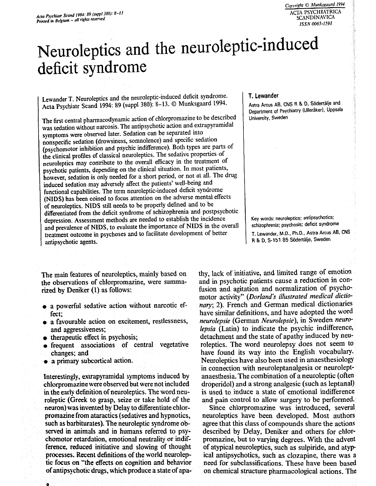*Ada PS),fhiarr Scand* 1994: 89 *(suppI 380): 8-13 Pnnrtd* in *Belgium - all righu reserved*

*Cop),righr* © *Munksgaard 1994* ACTA PSYCHIATRICA SCANDINAVICA *ISSN 0065-1591*

> $\dot{\alpha}$ , ., :"~

 $\sim$ 

.~

# Neuroleptics and the neuroleptic-induced **deficit syndrome**

Lewander T. Neuroleptics and the neuroleptic-induced deficit syndrome. Acta Psychiatr Scand 1994: 89 (suppl 380): 8-13. © Munksgaard 1994.

The first central pharmacodynamic action of chlorpromazine to be described was sedation without narcosis. The antipsychotic action and extrapyramidal symptoms were observed later. Sedation can be separated into nonspecific sedation (drowsiness, somnolence) and specific sedation (psychomotor inhibition and psychic indifference). Both types are parts of the clinical profiles of classical neuroleptics. The sedative properties of neuroleptics may contribute to the overall efficacy in the treatment of psychotic patients, depending on the clinical situation. In most patients, however, sedation is only needed for a short period, or not at all. The drug induced sedation may adversely affect the patients' well-being and functional capabilities. The term neuroleptic-induced deficit syndrome (NIDS) has been coined to focus attention on the adverse mental effects of neuroleptics. NIDS still needs to be properly defined and to be differentiated from the deficit syndrome of schizophrenia and postpsychotic depression. Assessment methods are needed to establish the incidence and prevalence of NIDS, to evaluate the importance of NIDS in the overall treatment outcome in psychoses and to facilitate development of better antipsychotic agents.

The main features of neuroleptics, mainly based on the observations of chlorpromazine, were summarized by Deniker (1) as follows:

- a powerful sedative action without narcotic effect;
- a favourable action on excitement, restlessness, . and aggressiveness;
- $\bullet$  therapeutic effect in psychosis;
- frequent associations of central vegetative changes; and
- a primary subcortical action.

Interestingly, extrapyramidal symptoms induced by chlorpromazine were observed but were not included in the early definition of neuroleptics. The word neuroleptic (Greek to grasp, seize or take hold of the neuron) was invented by Delay to differentiate chlorpromazine from ataractics (sedatives and hypnotics, such as barbiturates). The neuroleptic syndrome observed in animals and in humans referred to psychomotor retardation, emotional neutrality or indifference, reduced initiative and slowing of thought processes. Recent definitions of the world neuroleptic focus on "the effects on cognition and behavior of antipsychotic drugs, which produce a state of apa-

#### T. Lewander

Astra Arcus AB, CNS R & D, Södertälje and Department of Psychiatry (Ulleraker), Uppsala University, Sweden

Key words: neuroleptics; antipsychotics; schizophrenia; psychosis; deficit syndrome

T. Lewander, M.D., Ph.D., Astra Arcus AB, CNS R & D, S-151 85 Södertälje, Sweden

thy, lack of initiative, and limited range of emotion and in psychotic patients cause a reduction in confusion and agitation and normalization of psychomotor activity" *(Dorland's illustrated medical dictio*nary; 2). French and German medical dictionaries have similar definitions, and have adopted the word *neurolepsie* (German *Neurolepsie),* in Sweden *neurolepsia* (Latin) to indicate the psychic indifference, detachment and the state of apathy induced by neuroleptics. The word neurolepsy does not seem to . have found its way into the English vocabulary. Neuroleptics have also been used in anaesthesiology in connection with neuroleptanalgesia or neuroleptanaesthesia.The combination of a neuroleptic (often' droperidol) and a strong analgesic (such as leptanal) is used to induce a state of emotional indifference. and pain control to allow surgery to be performed.

Since chlorpromazine was introduced, several neuroleptics have been developed. Most authors agree that this class of compounds share the actions described by Delay, Deniker and others for chlorpromazine, but to varying degrees. With the advent of atypical neuroleptics, such as sulpiride, and atypical antipsychotics, such as clozapine, there was a need for subclassifications. These have been based on chemical structure pharmacological actions. The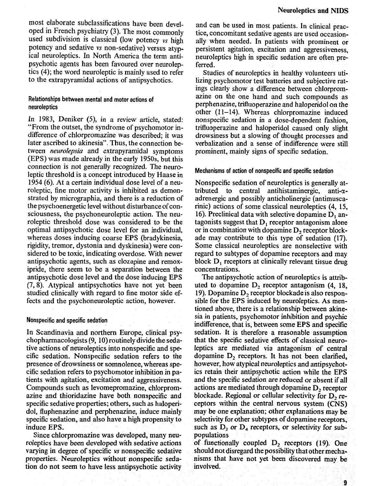most elaborate subclassifications have been developed in French psychiatry (3). The most commonly used subdivision is classical (low potency *vs* high potency and sedative *vs* non-sedative) versus atypical neuroleptics. In North America the term antipsychotic agents has been favoured over neuroleptics (4); the word neuroleptic is mainly used to refer to the extrapyramidal actions of antipsychotics.

# Relationships between mental and motor actions of neuroleptics

In 1983, Deniker (5), in a review article, stated: "From the outset, the syndrome of psychomotor indifference of chlorpromazine was described; it was later ascribed to akinesia". Thus, the connection between *neurolepsia* and extrapyramidal symptoms (EPS) was made already in the early 1950s, but this connection is not generally recognized. The neuroleptic threshold is a concept introduced by Haase in 1954 (6). At a certain individual dose level of a neuroleptic, fine motor activity is inhibited as demonstrated by micrographia, and there is a reduction of the psychoenergetic level without disturbance of consciousness, the psychoneuroleptic action. The neuroleptic threshold dose was considered to be the optimal antipsychotic dose level for an individual, whereas doses inducing coarse EPS (bradykinesia, rigidity, tremor, dystonia and dyskinesia) were considered to be toxic, indicating overdose. With newer antipsychotic agents, such as clozapine and remoxipride, there seem to be a separation between the antipsychotic dose level and the dose inducing EPS  $(7, 8)$ . Atypical antipsychotics have not yet been studied clinically with regard to fine motor side effects and the psychoneuroleptic action, however.

# Nonspecific and specific sedation

In Scandinavia and northern Europe, clinical psychopharmacologists (9, 10) routinely divide the sedative actions of neuroleptics into nonspecific and specific sedation. Nonspecific sedation refers to the presence of drowsiness or somnolence, whereas specific sedation refers to psychomotor inhibition in patients with agitation, excitation and aggressiveness. Compounds such as levomepromazine, chlorpromazine and thioridazine have both nonspecific and specific sedative properties; others, such as haloperidol, fluphenazine and perphenazine, induce mainly specific sedation, and also have a high propensity to induce EPS.

Since chlorpromazine was developed, many neuroleptics have been developed with sedative actions varying in degree of specific' *vs* nonspecific sedative properties. Neuroleptics without nonspecific sedation do not seem to have less antipsychoticactivity

and can be used in most patients. In clinical practice, concomitant sedative agents are used occasionally When needed. In patients with prominent or persistent agitation, excitation and aggressiveness, neuroleptics high in specific sedation are often preferred.

Studies of neuroleptics in healthy volunteers utilizing psychomotor test batteries and subjective ratings clearly show a difference between chlorpromazine on the one hand and such compounds as perphenazine, trifluoperazine and haloperidol on the other (11-14). Whereas chlorpromazine induced nonspecific sedation in a dose-dependent fashion, trifluoperazine and haloperidol caused only slight drowsiness but a slowing of thought processes and verbalization and a sense of indifference were still prominent, mainly signs of specific sedation.

# Mechanisms of action of nonspecific and specific sedation

Nonspecific sedation of neuroleptics is generally attributed to central antihistaminergic, anti- $\alpha$ adrenergic and possibly anticholinergic (antimuscarinic) actions of some classical neuroleptics (4, 15, 16). Preclinical data with selective dopamine  $D_1$  antagonists suggest that  $D_1$  receptor antagonism alone or in combination with dopamine  $D<sub>2</sub>$  receptor blockade may contribute to this type of sedation (17). Some classical neuroleptics are nonselective with regard to subtypes of dopamine receptors and may block  $D_1$  receptors at clinically relevant tissue drug concentrations.

The antipsychotic action of neuroleptics is attributed to dopamine  $D_2$  receptor antagonism (4, 18, 19). Dopamine  $D<sub>2</sub>$  receptor blockade is also responsible for the EPS induced by neuroleptics. As mentioned above, there is a relationship between akinesia in patients, psychomotor inhibition and psychic. indifference, that is, between some EPS and specific sedation. It is therefore a reasonable' assumption that the specific sedative effects of classical neuro-Ieptics are mediated via antagonism of central dopamine  $D<sub>2</sub>$  receptors. It has not been clarified, however, how atypical neuroleptics and antipsychotics retain their antipsychotic action while the EPS and the specific sedation are reduced or absent if all actions are mediated through dopamine  $D<sub>2</sub>$  receptor blockade. Regional or cellular selectivity for  $D$ , receptors within the central nervous system (CNS) may be one explanation; other explanations may, be selectivity for other subtypes of dopamine receptors. such as  $D_3$  or  $D_4$  receptors, or selectivity for subpopulations

of functionally coupled  $D<sub>2</sub>$  receptors (19). One should not disregard the possibility that other mecha-. nisms that have not yet been discovered may be involved.

9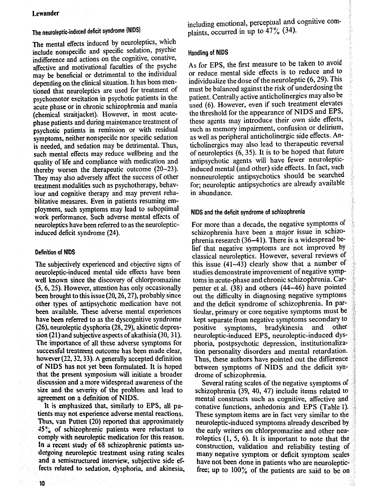# Lewander

# The neuroleptic-induced deficit syndrome (NIDS)

The mental effects induced by neuroleptics, which include nonspecific and specific sedation, psychic indifference and actions on the cognitive, conative, . affective and motivational faculties of the psyche may be beneficial or detrimental to the individual depending on the clinical situation. It has been mentioned that neuroleptics are used for treatment of psychomotor excitation in psychotic patients in the acute phase or in chronic schizophrenia and mania (chemical straitjacket). However, in most acutephase patients and during maintenance treatment of psychotic patients in remission or with residual symptoms, neither nonspecific nor specific sedation is needed, and sedation may be detrimental. Thus, such mental effects may reduce wellbeing and the quality of life and compliance with medication and thereby worsen the therapeutic outcome (20-23). They may also adversely affect the success of other treatment modalities such as psychotherapy, behaviour and cognitive therapy and may prevent rehabilitative measures. Even in patients resuming employment, such symptoms may lead to suboptimal work performance. Such adverse mental effects of neuroleptics have been referred to as the neurolepticinduced deficit syndrome (24).

# Definition of NIDS

The subjectively experienced and objective signs of neuroleptic-induced mental side effects have been well known since the discovery of chlorpromazine (5,6,25). However, attention has only occasionally been brought to this issue (20, 26, 27), probably since other types of antipsychotic. medication have not been available. These adverse mental experiences have been referred to as the dyscognitive syndrome (26), neuroleptic dysphoria (28,29), akinetic depression (21) and subjective aspects of akathisia (30, 31). The importance of all these adverse symptoms for successful treatment outcome has been made clear, however (22.32, 33). A generally accepted definition of NIDS has not yet been formulated. It is hoped that the present symposium will initiate a broader .discussion and a more widespread awareness of the size and the severity of the problem and lead to azreement on a definition of NIDS.

It is emphasized that, similarly to EPS, all patients may not experience adverse mental reactions. Thus, van Putten (20) reported that approximately  $45\%$  of schizophrenic patients were reluctant to comply with neuroleptic medication for this reason. In a recent study of 68 schizophrenic patients un dergoing neuroleptic treatment using rating scales and a semistructured interview, subjective side effects related to sedation, dysphoria, and akinesia,

including emotional, perceptual and cognitive complaints, occurred in up to 47% (34).

# Handling of NIDS

As for EPS, the first measure to be taken to avoid or reduce mental side effects is to reduce and to individualize the dose of the neuroleptic (6, 29). This must be balanced against the risk of under dosing the patient. Centrally active anticholinergics may also be used (6). However, even if such treatment elevates the threshold for the appearance of NIDS and EPS, these agents may introduce their own side effects, such as memory impairment, confusion or delirium, as well as peripheral anticholinergic side effects. An-<br>ticholinergics may also lead to therapeutic reversal of neuroleptics  $(6, 35)$ . It is to be hoped that future antipsychotic agents will have fewer neuroleptic- *l.* induced mental (and other) side effects. In fact, such nonneuroleptic antipsychotics should be searched for; neuroleptic antipsychotics are already available in abundance.

#### NIDS and the deficit syndrome of schizophrenia

For more than a decade, the negative symptoms of schizophrenia have been a major issue in schizophrenia research  $(36-41)$ . There is a widespread be-<br>lief that negative symptoms are not improved by classical neuroleptics. However, several reviews of this issue (41–43) clearly show that a number of studies demonstrate improvement of negative symptoms in acute-phase and chronic schizophrenia. Car-<br>nenter et al. (38) and others (44–46) have pointed studies demonstrate improvement of negative symptoms in acute-phase and chronic schizophrenia. Carpenter et al.  $(38)$  and others  $(44-46)$  have pointed out the difficulty in diagnosing negative symptoms and the deficit syndrome of schizophrenia. In particular, primary or core negative symptoms must be kept separate from negative symptoms secondary to<br>positive symptoms, bradykinesia and other neuroleptic-induced EPS, neuroleptic-induced dysphoria, postpsychotic depression, institutionalization personality disorders and mental retardation. Thus, these authors have pointed out the difference between symptoms of NIDS and the deficit syndrome of schizophrenia.

 $\mathbb{R}^n$  . .~

}fr

Several rating scales of the negative symptoms of schizophrenia  $(39, 40, 47)$  include items related to mental constructs such as cognitive, affective and conative functions, anhedonia and EPS (Table 1). These symptom items are in fact very similar to the neuroleptic-induced symptoms already described by the early writers on chlorpromazine and other neuroleptics  $(1, 5, 6)$ . It is important to note that the construction, validation and reliability testing of many negative symptom or deficit symptom scales have not been done in patients who are neurolepticfree; up to  $100\%$  of the patients are said to be on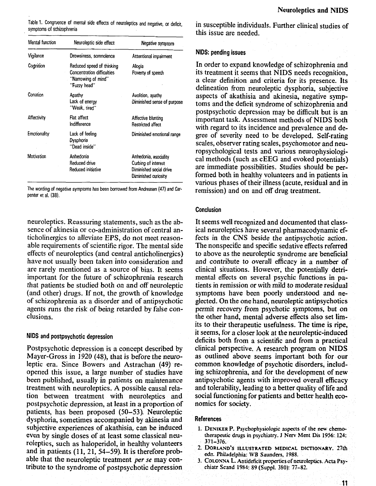Table 1. Congruence of mental side effects of neuroleptics and negative, or deficit, symptoms of schizophrenia

| Mental function | Neuroleptic side effect                                                                               | Negative symptom                                                                                |
|-----------------|-------------------------------------------------------------------------------------------------------|-------------------------------------------------------------------------------------------------|
| Vigilance       | Drowsiness, somnolence                                                                                | Attentional impairment                                                                          |
| Codnition       | Reduced speed of thinking<br><b>Concentration difficulties</b><br>"Narrowing of mind"<br>"Fuzzy head" | Alogia<br>Poverty of speech                                                                     |
| Conation        | Apathy<br>Lack of energy<br>"Weak, tired"                                                             | Avolition, apathy<br>Diminished sense of purpose                                                |
| Affectivity     | Flat affect<br>Indifference                                                                           | Affective blunting<br><b>Restricted affect</b>                                                  |
| Emotionality    | Lack of feeling<br>Dysphoria<br>"Dead inside"                                                         | Diminished emotional range                                                                      |
| Motivation      | Anhedonia<br>Reduced drive<br>Reduced initiative                                                      | Anhedonia, asociality<br>Curbing of interest<br>Diminished social drive<br>Diminished curiosity |

The wording of negative symptoms has been borrowed from Andreasen (47) and Carpenter et al. (38).

neuroleptics. Reassuring statements, such as the absence of akinesia or co-administration of central anticholinergics to alleviate EPS, do not meet reasonable requirements of scientific rigor. The mental side effects of neuroleptics (and central anticholinergics) have not usually been taken into consideration and are rarely mentioned as a source of bias. It seems important for the future of schizophrenia research that patients be studied both on and off neuroleptic (and other) drugs. If not, the growth of knowledge of schizophrenia as a disorder and of antipsychotic agents runs the risk of being retarded by false conclusions.

# NIDS and postpsychotic depression

Postpsychotic depression is a concept described by Mayer-Gross in 1920 (48), that is before the neuroleptic era. Since Bowers and Astrachan (49) reopened this issue, a large number of studies have been published, usually in patients on maintenance treatment with neuroleptics. A possible causal relation between treatment with neuroleptics and postpsychotic depression, at least in a proportion of patients, has been proposed (50-53). Neuroleptic dysphoria, sometimes accompanied by akinesia and subjective experiences of akathisia, can be induced even by single doses of at least some classical neuroleptics, such as haloperidol, in healthy volunteers and in patients  $(11, 21, 54-59)$ . It is therefore probable that the neuroleptic treatment per se may contribute to the syndrome of postpsychotic depression

in susceptible individuals. Further clinical studies of this issue are needed.

#### **NIDS: pending issues**

In order to expand knowledge of schizophrenia and its treatment it seems that NIDS needs recognition. a clear definition and criteria for its presence. Its delineation from neuroleptic dysphoria, subjective aspects of akathisia and akinesia, negative symptoms and the deficit syndrome of schizophrenia and postpsychotic depression may be difficult but is an important task. Assessment methods of NIDS both with regard to its incidence and prevalence and degree of severity need to be developed. Self-rating scales, observer rating scales, psychomotor and neuropsychological tests and various neurophysiological methods (such as cEEG and evoked potentials) are immediate possibilities. Studies should be performed both in healthy volunteers and in patients in various phases of their illness (acute, residual and in remission) and on and off drug treatment.

# **Conclusion**

It seems well recognized and documented that classical neuroleptics have several pharmacodynamic effects in the CNS beside the antipsychotic action. The nonspecific and specific sedative effects referred to above as the neuroleptic syndrome are beneficial and contribute to overall efficacy in a number of clinical situations. However, the potentially detrimental effects on several psychic functions in patients in remission or with mild to moderate residual symptoms have been poorly understood and neglected. On the one hand, neuroleptic antipsychotics permit recovery from psychotic symptoms, but on the other hand, mental adverse effects also set limits to their therapeutic usefulness. The time is ripe, it seems, for a closer look at the neuroleptic-induced deficits both from a scientific and from a practical clinical perspective. A research program on NIDS as outlined above seems important both for our common knowledge of psychotic disorders, including schizophrenia, and for the development of new antipsychotic agents with improved overall efficacy and tolerability, leading to a better quality of life and social functioning for patients and better health economics for society.

# References

- 1. DENIKER P. Psychophysiologic aspects of the new chemotherapeutic drugs in psychiatry. J Nerv Ment Dis 1956: 124:  $371 - 376.$
- 2. DORLAND'S ILLUSTRATED MEDICAL DICTIONARY. 27th edn. Philadelphia: WB Saunders, 1988.
- 3. COLONNA L. Antideficit properties of neuroleptics. Acta Psychiatr Scand 1984: 89 (Suppl. 380): 77-82.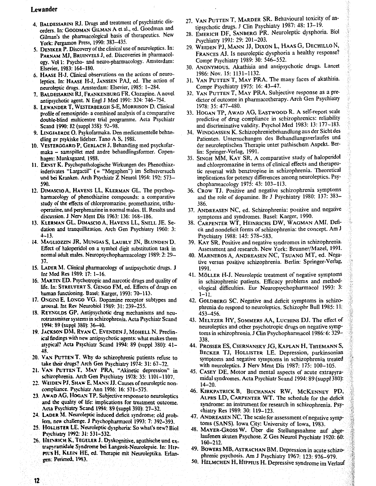# Lewander

- 4. BALDESSARINI RJ. Drugs and treatment of psychiatric disorders. In: GOODMAN GILMAN A et al., ed. Goodman and Gilman's the pharmacological basis of therapeutics. New York: Pergamon Press, 1990: 383-435. .
- 5. DENIKER P. Discovery of the clinical use of neuroleptics. In: PARNAM MJ, BRUINVELS J, ed. Discoveries in pharmacology. Vol 1: Psycho- and nemo-pharmacology. Amsterdam: Elsevier, 1983: 164-180.
- 6. HAASEH-J. Clinical observations on the actions of neuroleptics, In: HAASE H-J, JANSSEN PAJ, ed. The action of neuroleptic drugs. Amsterdam: Elsevier, 1985: 1-284.
- 1. BALDESSARINI RJ, FRANKENBURGFR. Clozapine. A novel antipsychotic agent. N Engl J Med 1991: 324: 746-754.
- 8. LEWANDER T, WESTERBERGH S-E, MORRISON D. Clinical profile of remoxipride- a combined analysis of a comparative double-blind multicentre trial programme. Acta Psychiatr Scand 1990: 82 (supp1358): 92-98.
- 9. LINGJAERDE O. Psykofarmaka. Den medicamentelle behandling av psykiske lidelser. Tano A S, 1988.
- 10. VESTERGGARD P, GERLACH J. Behandling med psyckofarmaka - samspillet med andre behandlingsformer. Copenhagen: Munksgaard, 1988.
- 11. ERNSTK. Psychopathologische Wirkungen des Phenothiazinderivates "Largactil" (= "Megaphen") im Selbstversuch und bei Kranken. Arch Psychiatr Z Neurol 1954: 192: 573-590. .
- 12. DIMASCIO A, HAVENS LL, KLERMAN GL. The psychopharmacology of phenothiazine compounds: a comparative study of the effects of chlorpromazine, promethazine, trifluoperazine, and perphenazine in normal males. II. Results and discussion.J Nerv Ment Dis 1963: 136: 168-186.
- 13. KLERMAN GL, DIMASCIO A, HAVENS LL, SNELL JE. Sedation and tranquillization. Arch Gen Psychiatry 1960: 3: .\$-ll
- 14. Magliozzin JR, Mungas S, Laubly JN, Blunden D. . Effect of haloperidol on a symbol digit substitution task in normal adult males. Neuropsychopharmacology 1989:2: 29- 31.
- IS. LADERM. Clinical pharmacology of antipsychotic drugs. J Int Med Res 1989: 17: 1-16.
- 16. MARTIN ED. Psychotropic and narcotic drugs and quality of life. In: STREUFERT S, GENGO FM, ed. Effects of drugs on human functioning. Basel: Karger, 1993: 70-113.
- 17. ONGINI E. LONGO VG. Dopamine receptor subtypes and arousal. Int Rev Neurobiol 1989: 31: 239-255.
- 18. REYXOLDSGP. Antipsychotic drug mechanisms and neurotransmitter systems in schizophrenia. Acta Psychiatr Scand 1994: 89 (suppl 380): 36-40.
- 19. JACKSON DM, RYAN C, EVENDEN J, MOHELL N. Preclinical findings with new antipsychotic agents: what makes them atypical? Acta Psychiatr Scand 1994: 89 (suppl 380): 41-..t.S.
- 20. VAN PUTTEN T. Why do schizophrenic patients refuse to . take their drugs? Arch Gen Psychiatry 1974: 31: 67-72.
- 21. VAN PUTTENT, MAY PRA. "Akinetic depression" in . schizophrenia. Arch Gen Psychiatry 1978: 35: 1101-1107.
- 22. WEIDEN PJ, SHAW E. MANN JJ. Causes of neuroleptic noncOmpliance. Psychiatr Ann 1986: 16: *5n ..:575.*
- 23. AWAD AG. HOGAN TP. Subjective response to neuroleptics and the quality of life: implications for treatment outcome. Acta Psychiatry Scand 1994: 89 (suppl 380): 27-32.
- 24. LADER M. Neuroleptic induced deficit syndrome: old problem. new challenge. J Psychopharmacol 1993: 7: 392-393.
- 25. HOLLISTER LE. Neuroleptic dysphoria: So what's new? Biol Psychiatry 1992: 31: 531-532.
- 26. HEINRICH K. TEGELER J. Dyskognitive, apathische und extrapyramidale Syndrome bei Langzeit-Neurolepsie. In: HIP-..."'t~H, KutS HE..ed, Therapie mit Neuroleptika, Erlan.. . , ~ Pcrintc:d.l~).· . ..
- 27. VAN PUTTENT, MARDER SR. Behavioural toxicity of antipsychotic drugs. J Clin Psychiatry 1987: 48: 13-19.
- 28. EMERICH DF, SANBERG PR. Neuroleptic dysphoria. Biol Psychiatry 1991: 29: 201-203.
- 29. WElDEN PJ, MANN JJ, DIXON L, HAAS G, OECHILLON, FRANCESAJ. Is neuroleptic dysphoria a healthy response? Compr Psychiatry 1989: 30: 546-552.
- 30. ANONYMOUS. Akathisia and antipsychotic drugs. Lancet 1986: Nov. 15: 1131-1132.
- 31. VAN PUTTENT, MAY PRA. The many faces of akathisia. Compr Psychiatry 1975: 16: 43-47.
- 32. VAN PUTTENT, MAY PRA. Subjective response as a predictor of outcome in pharmacotherapy. Arch Gen Psychiatry 1978: 35: 477-480.
- 33. HOGAN TP, AWAD AG, EASTWOOD R. A self-report scale predictive of drug compliance in schizophrenics: reliability and discriminative validity. Psychol Med 1983: 13: 177-183.
- 34. WINDGASSEN K. Schizophreniebehandlung aus der Sicht des Patienten. Untersuchungen des Behandlungsverlaufes und der neuroleptischen Therapie unter pathischem Aspekt. Berlin: Springer-Verlag, 1991.
- 35. SINGH MM, KAY SR. A comparative study of haloperidol and chlorpromazine in terms of clinical effects and therapeutic reversal with benztropine in schizophrenia. Theoretical implications for potency differences among neuroleptics. Psy- \ chopharmacology 1975: 43: 103-113. "
- 36. CROW TJ. Positive and negative schizophrenia symptoms and the role of dopamine. Br J Psychiatry 1980: 137: 383- 1  $36.$
- **37. ANDREASEN NC, ed. Schizophrenia: positive and negative ).' symptoms and syndromes: Basel: Karger, 1990. :.;."**
- 38. CARPENTER WT, HEINRICHS DW, WAGMAN AMI. Deficit and nondeficit forms of schizophrenia: the concept. Am J ) Psychiatry 1988: 145: 578-583.
- 39. KAY SR. Positive and negative syndromes in schizophrenia. Assessment and research. New York: Brunner/Mazel, 1991.
- 40. MARNEROS A, ANDREASEN NC, TSUANG MT, ed. Negative versus positive schizophrenia. Berlin: Springer-Verlag,  $1991.$
- 1. MÖLLER H-J. Neuroleptic treatment of negative symptoms in schizophrenic patients. Efficacy problems and methodological difficulties. Eur Neuropsychopharmacol 1993: 3:<br> $1-11$ . *1-11.*<br>
<sup>12</sup> 42. GOLDBERG SC. Negative and deficit symptoms in schizo-
- phrenia do respond to neuroleptics. Schizophr Bull 1985: 11: 453-456.
- 43. MELTZER HY, SOMMERS AA, LUCHINS DJ. The effect of neuroleptics and other psychotropic drugs on negative sympphrenia do respond to neuroleptics. Schizophr Bull 1985: 11:<br>453–456.<br>3. MELTZER HY, SOMMERS AA, LUCHINS DJ. The effect of<br>neuroleptics and other psychotropic drugs on negative symp-<br>toms in schizophrenia. J Clin Psychopha
- BECKER TJ, HOLLISTER LE. Depression, parkinsonian symptoms and negative symptoms in schizophrenia treated with neuroleptics. J Nerv Ment Dis 1987: 175: 100-105.
- 45. CASEY DE. Motor and mental aspects of acute extrapyramidal syndromes. Acta Psychiatr Scand 1994: 89 (suppI380):  $14 - 20$ .
- 46. KIRKPATRICKB, BUCHANAN RW, MCKENNEY PO,. ALPHS LD, CARPENTER WT. The schedule for the deficit syndrome: an instrument for research in schizophrenia. Psychiatry Res 1989: 30: 119-123.
- 47. ANDREASEN NC. The scale for assessment of negative symptoms (SANS). Iowa City: University of Iowa, 1983.
- 48. MAYER-GROSSW. Über die Stellungsnahme auf abgelaufenen akuten Psychose. Z Ges Neurol Psychiatr 1920: 60:  $160 - 212.$
- 49. BOWERS MB, ASTRACHAN BM. Depression in acute schizophrenic psychosis. Am J Psychiatry 1967: 123: 976-979.
- 50. HELMCHEN H, HIPPIUS H. Depressive syndrome im Verlauf

~I